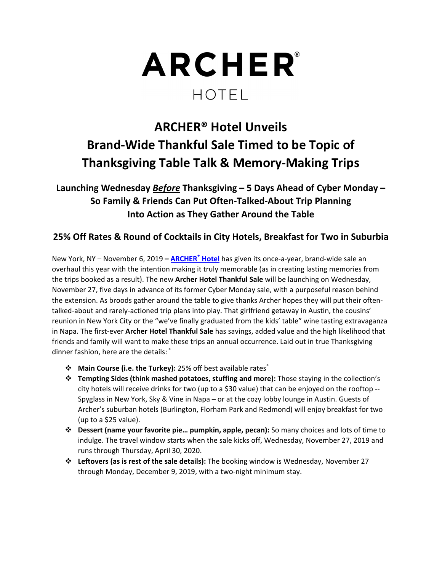

# **ARCHER® Hotel Unveils Brand‐Wide Thankful Sale Timed to be Topic of Thanksgiving Table Talk & Memory‐Making Trips**

**Launching Wednesday** *Before* **Thanksgiving – 5 Days Ahead of Cyber Monday – So Family & Friends Can Put Often‐Talked‐About Trip Planning Into Action as They Gather Around the Table** 

## **25% Off Rates & Round of Cocktails in City Hotels, Breakfast for Two in Suburbia**

New York, NY – November 6, 2019 **– ARCHER® Hotel** has given its once‐a‐year, brand‐wide sale an overhaul this year with the intention making it truly memorable (as in creating lasting memories from the trips booked as a result). The new **Archer Hotel Thankful Sale** will be launching on Wednesday, November 27, five days in advance of its former Cyber Monday sale, with a purposeful reason behind the extension. As broods gather around the table to give thanks Archer hopes they will put their often‐ talked‐about and rarely‐actioned trip plans into play. That girlfriend getaway in Austin, the cousins' reunion in New York City or the "we've finally graduated from the kids' table" wine tasting extravaganza in Napa. The first‐ever **Archer Hotel Thankful Sale** has savings, added value and the high likelihood that friends and family will want to make these trips an annual occurrence. Laid out in true Thanksgiving dinner fashion, here are the details: \*

- **Main Course (i.e. the Turkey):** 25% off best available rates\*
- **Tempting Sides (think mashed potatoes, stuffing and more):** Those staying in the collection's city hotels will receive drinks for two (up to a \$30 value) that can be enjoyed on the rooftop ‐‐ Spyglass in New York, Sky & Vine in Napa – or at the cozy lobby lounge in Austin. Guests of Archer's suburban hotels (Burlington, Florham Park and Redmond) will enjoy breakfast for two (up to a \$25 value).
- **Dessert (name your favorite pie… pumpkin, apple, pecan):** So many choices and lots of time to indulge. The travel window starts when the sale kicks off, Wednesday, November 27, 2019 and runs through Thursday, April 30, 2020.
- **Leftovers (as is rest of the sale details):** The booking window is Wednesday, November 27 through Monday, December 9, 2019, with a two-night minimum stay.